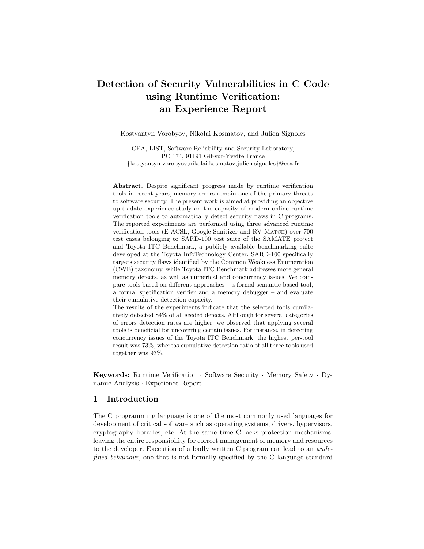# Detection of Security Vulnerabilities in C Code using Runtime Verification: an Experience Report

Kostyantyn Vorobyov, Nikolai Kosmatov, and Julien Signoles

CEA, LIST, Software Reliability and Security Laboratory, PC 174, 91191 Gif-sur-Yvette France {kostyantyn.vorobyov,nikolai.kosmatov,julien.signoles}@cea.fr

Abstract. Despite significant progress made by runtime verification tools in recent years, memory errors remain one of the primary threats to software security. The present work is aimed at providing an objective up-to-date experience study on the capacity of modern online runtime verification tools to automatically detect security flaws in C programs. The reported experiments are performed using three advanced runtime verification tools (E-ACSL, Google Sanitizer and RV-Match) over 700 test cases belonging to SARD-100 test suite of the SAMATE project and Toyota ITC Benchmark, a publicly available benchmarking suite developed at the Toyota InfoTechnology Center. SARD-100 specifically targets security flaws identified by the Common Weakness Enumeration (CWE) taxonomy, while Toyota ITC Benchmark addresses more general memory defects, as well as numerical and concurrency issues. We compare tools based on different approaches – a formal semantic based tool, a formal specification verifier and a memory debugger – and evaluate their cumulative detection capacity.

The results of the experiments indicate that the selected tools cumilatively detected 84% of all seeded defects. Although for several categories of errors detection rates are higher, we observed that applying several tools is beneficial for uncovering certain issues. For instance, in detecting concurrency issues of the Toyota ITC Benchmark, the highest per-tool result was 73%, whereas cumulative detection ratio of all three tools used together was 93%.

Keywords: Runtime Verification · Software Security · Memory Safety · Dynamic Analysis · Experience Report

# 1 Introduction

The C programming language is one of the most commonly used languages for development of critical software such as operating systems, drivers, hypervisors, cryptography libraries, etc. At the same time C lacks protection mechanisms, leaving the entire responsibility for correct management of memory and resources to the developer. Execution of a badly written C program can lead to an undefined behaviour, one that is not formally specified by the C language standard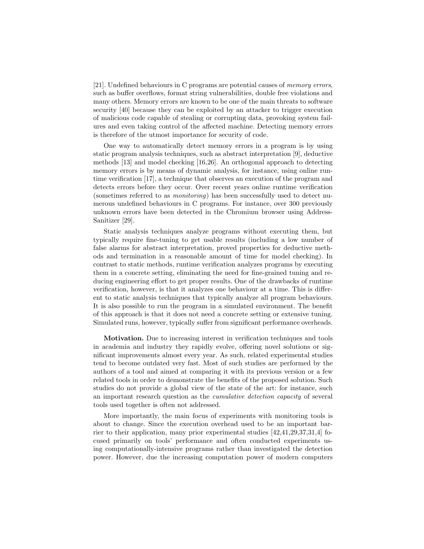[\[21\]](#page-15-0). Undefined behaviours in C programs are potential causes of memory errors, such as buffer overflows, format string vulnerabilities, double free violations and many others. Memory errors are known to be one of the main threats to software security [\[40\]](#page-16-0) because they can be exploited by an attacker to trigger execution of malicious code capable of stealing or corrupting data, provoking system failures and even taking control of the affected machine. Detecting memory errors is therefore of the utmost importance for security of code.

One way to automatically detect memory errors in a program is by using static program analysis techniques, such as abstract interpretation [\[9\]](#page-14-0), deductive methods [\[13\]](#page-15-1) and model checking [\[16,](#page-15-2)[26\]](#page-15-3). An orthogonal approach to detecting memory errors is by means of dynamic analysis, for instance, using online runtime verification [\[17\]](#page-15-4), a technique that observes an execution of the program and detects errors before they occur. Over recent years online runtime verification (sometimes referred to as monitoring) has been successfully used to detect numerous undefined behaviours in C programs. For instance, over 300 previously unknown errors have been detected in the Chromium browser using Address-Sanitizer [\[29\]](#page-15-5).

Static analysis techniques analyze programs without executing them, but typically require fine-tuning to get usable results (including a low number of false alarms for abstract interpretation, proved properties for deductive methods and termination in a reasonable amount of time for model checking). In contrast to static methods, runtime verification analyzes programs by executing them in a concrete setting, eliminating the need for fine-grained tuning and reducing engineering effort to get proper results. One of the drawbacks of runtime verification, however, is that it analyzes one behaviour at a time. This is different to static analysis techniques that typically analyze all program behaviours. It is also possible to run the program in a simulated environment. The benefit of this approach is that it does not need a concrete setting or extensive tuning. Simulated runs, however, typically suffer from significant performance overheads.

Motivation. Due to increasing interest in verification techniques and tools in academia and industry they rapidly evolve, offering novel solutions or significant improvements almost every year. As such, related experimental studies tend to become outdated very fast. Most of such studies are performed by the authors of a tool and aimed at comparing it with its previous version or a few related tools in order to demonstrate the benefits of the proposed solution. Such studies do not provide a global view of the state of the art: for instance, such an important research question as the cumulative detection capacity of several tools used together is often not addressed.

More importantly, the main focus of experiments with monitoring tools is about to change. Since the execution overhead used to be an important barrier to their application, many prior experimental studies [\[42,](#page-16-1)[41,](#page-16-2)[29](#page-15-5)[,37,](#page-16-3)[31,](#page-15-6)[4\]](#page-14-1) focused primarily on tools' performance and often conducted experiments using computationally-intensive programs rather than investigated the detection power. However, due the increasing computation power of modern computers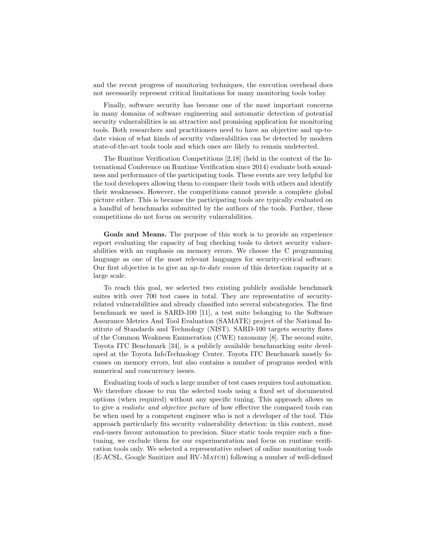and the recent progress of monitoring techniques, the execution overhead does not necessarily represent critical limitations for many monitoring tools today.

Finally, software security has become one of the most important concerns in many domains of software engineering and automatic detection of potential security vulnerabilities is an attractive and promising application for monitoring tools. Both researchers and practitioners need to have an objective and up-todate vision of what kinds of security vulnerabilities can be detected by modern state-of-the-art tools tools and which ones are likely to remain undetected.

The Runtime Verification Competitions [\[2,](#page-14-2)[18\]](#page-15-7) (held in the context of the International Conference on Runtime Verification since 2014) evaluate both soundness and performance of the participating tools. These events are very helpful for the tool developers allowing them to compare their tools with others and identify their weaknesses. However, the competitions cannot provide a complete global picture either. This is because the participating tools are typically evaluated on a handful of benchmarks submitted by the authors of the tools. Further, these competitions do not focus on security vulnerabilities.

Goals and Means. The purpose of this work is to provide an experience report evaluating the capacity of bug checking tools to detect security vulnerabilities with an emphasis on memory errors. We choose the C programming language as one of the most relevant languages for security-critical software. Our first objective is to give an up-to-date vision of this detection capacity at a large scale.

To reach this goal, we selected two existing publicly available benchmark suites with over 700 test cases in total. They are representative of securityrelated vulnerabilities and already classified into several subcategories. The first benchmark we used is SARD-100 [\[11\]](#page-14-3), a test suite belonging to the Software Assurance Metrics And Tool Evaluation (SAMATE) project of the National Institute of Standards and Technology (NIST). SARD-100 targets security flaws of the Common Weakness Enumeration (CWE) taxonomy [\[8\]](#page-14-4). The second suite, Toyota ITC Benchmark [\[34\]](#page-16-4), is a publicly available benchmarking suite developed at the Toyota InfoTechnology Center. Toyota ITC Benchmark mostly focusses on memory errors, but also contains a number of programs seeded with numerical and concurrency issues.

Evaluating tools of such a large number of test cases requires tool automation. We therefore choose to run the selected tools using a fixed set of documented options (when required) without any specific tuning. This approach allows us to give a realistic and objective picture of how effective the compared tools can be when used by a competent engineer who is not a developer of the tool. This approach particularly fits security vulnerability detection: in this context, most end-users favour automation to precision. Since static tools require such a finetuning, we exclude them for our experimentation and focus on runtime verification tools only. We selected a representative subset of online monitoring tools (E-ACSL, Google Sanitizer and RV-Match) following a number of well-defined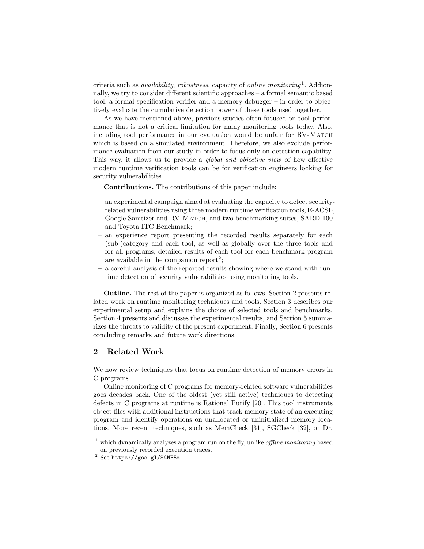criteria such as *availability*, *robustness*, capacity of *online monitoring*<sup>[1](#page-3-0)</sup>. Addionnally, we try to consider different scientific approaches – a formal semantic based tool, a formal specification verifier and a memory debugger – in order to objectively evaluate the cumulative detection power of these tools used together.

As we have mentioned above, previous studies often focused on tool performance that is not a critical limitation for many monitoring tools today. Also, including tool performance in our evaluation would be unfair for RV-MATCH which is based on a simulated environment. Therefore, we also exclude performance evaluation from our study in order to focus only on detection capability. This way, it allows us to provide a global and objective view of how effective modern runtime verification tools can be for verification engineers looking for security vulnerabilities.

Contributions. The contributions of this paper include:

- an experimental campaign aimed at evaluating the capacity to detect securityrelated vulnerabilities using three modern runtime verification tools, E-ACSL, Google Sanitizer and RV-Match, and two benchmarking suites, SARD-100 and Toyota ITC Benchmark;
- an experience report presenting the recorded results separately for each (sub-)category and each tool, as well as globally over the three tools and for all programs; detailed results of each tool for each benchmark program are available in the companion report<sup>[2](#page-3-1)</sup>;
- a careful analysis of the reported results showing where we stand with runtime detection of security vulnerabilities using monitoring tools.

Outline. The rest of the paper is organized as follows. Section [2](#page-3-2) presents related work on runtime monitoring techniques and tools. Section [3](#page-5-0) describes our experimental setup and explains the choice of selected tools and benchmarks. Section [4](#page-9-0) presents and discusses the experimental results, and Section [5](#page-12-0) summarizes the threats to validity of the present experiment. Finally, Section [6](#page-13-0) presents concluding remarks and future work directions.

# <span id="page-3-2"></span>2 Related Work

We now review techniques that focus on runtime detection of memory errors in C programs.

Online monitoring of C programs for memory-related software vulnerabilities goes decades back. One of the oldest (yet still active) techniques to detecting defects in C programs at runtime is Rational Purify [\[20\]](#page-15-8). This tool instruments object files with additional instructions that track memory state of an executing program and identify operations on unallocated or uninitialized memory locations. More recent techniques, such as MemCheck [\[31\]](#page-15-6), SGCheck [\[32\]](#page-16-5), or Dr.

<span id="page-3-0"></span> $1$  which dynamically analyzes a program run on the fly, unlike *offline monitoring* based on previously recorded execution traces.

<span id="page-3-1"></span><sup>2</sup> See <https://goo.gl/S4NF5m>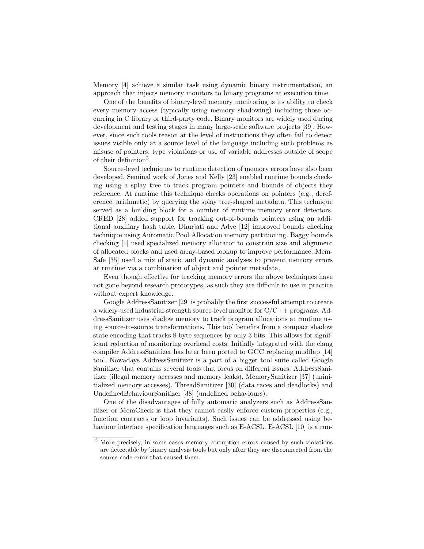Memory [\[4\]](#page-14-1) achieve a similar task using dynamic binary instrumentation, an approach that injects memory monitors to binary programs at execution time.

One of the benefits of binary-level memory monitoring is its ability to check every memory access (typically using memory shadowing) including those occurring in C library or third-party code. Binary monitors are widely used during development and testing stages in many large-scale software projects [\[39\]](#page-16-6). However, since such tools reason at the level of instructions they often fail to detect issues visible only at a source level of the language including such problems as misuse of pointers, type violations or use of variable addresses outside of scope of their definition<sup>[3](#page-4-0)</sup>.

Source-level techniques to runtime detection of memory errors have also been developed. Seminal work of Jones and Kelly [\[23\]](#page-15-9) enabled runtime bounds checking using a splay tree to track program pointers and bounds of objects they reference. At runtime this technique checks operations on pointers (e.g., dereference, arithmetic) by querying the splay tree-shaped metadata. This technique served as a building block for a number of runtime memory error detectors. CRED [\[28\]](#page-15-10) added support for tracking out-of-bounds pointers using an additional auxiliary hash table. Dhurjati and Adve [\[12\]](#page-14-5) improved bounds checking technique using Automatic Pool Allocation memory partitioning. Baggy bounds checking [\[1\]](#page-14-6) used specialized memory allocator to constrain size and alignment of allocated blocks and used array-based lookup to improve performance. Mem-Safe [\[35\]](#page-16-7) used a mix of static and dynamic analyses to prevent memory errors at runtime via a combination of object and pointer metadata.

Even though effective for tracking memory errors the above techniques have not gone beyond research prototypes, as such they are difficult to use in practice without expert knowledge.

Google AddressSanitizer [\[29\]](#page-15-5) is probably the first successful attempt to create a widely-used industrial-strength source-level monitor for  $C/C++$  programs. AddressSanitizer uses shadow memory to track program allocations at runtime using source-to-source transformations. This tool benefits from a compact shadow state encoding that tracks 8-byte sequences by only 3 bits. This allows for significant reduction of monitoring overhead costs. Initially integrated with the clang compiler AddressSanitizer has later been ported to GCC replacing mudflap [\[14\]](#page-15-11) tool. Nowadays AddressSanitizer is a part of a bigger tool suite called Google Sanitizer that contains several tools that focus on different issues: AddressSanitizer (illegal memory accesses and memory leaks), MemorySanitizer [\[37\]](#page-16-3) (uninitialized memory accesses), ThreadSanitizer [\[30\]](#page-15-12) (data races and deadlocks) and UndefinedBehaviourSanitizer [\[38\]](#page-16-8) (undefined behaviours).

One of the disadvantages of fully automatic analyzers such as AddressSanitizer or MemCheck is that they cannot easily enforce custom properties (e.g., function contracts or loop invariants). Such issues can be addressed using behaviour interface specification languages such as E-ACSL. E-ACSL [\[10\]](#page-14-7) is a run-

<span id="page-4-0"></span><sup>3</sup> More precisely, in some cases memory corruption errors caused by such violations are detectable by binary analysis tools but only after they are disconnected from the source code error that caused them.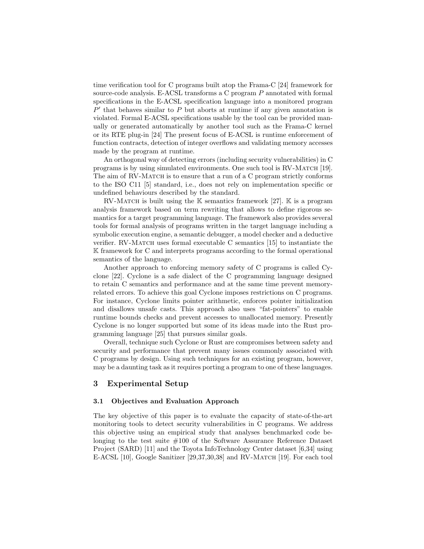time verification tool for C programs built atop the Frama-C [\[24\]](#page-15-13) framework for source-code analysis. E-ACSL transforms a C program P annotated with formal specifications in the E-ACSL specification language into a monitored program  $P'$  that behaves similar to  $P$  but aborts at runtime if any given annotation is violated. Formal E-ACSL specifications usable by the tool can be provided manually or generated automatically by another tool such as the Frama-C kernel or its RTE plug-in [\[24\]](#page-15-13) The present focus of E-ACSL is runtime enforcement of function contracts, detection of integer overflows and validating memory accesses made by the program at runtime.

An orthogonal way of detecting errors (including security vulnerabilities) in C programs is by using simulated environments. One such tool is RV-MATCH [\[19\]](#page-15-14). The aim of RV-MATCH is to ensure that a run of a C program strictly conforms to the ISO C11 [\[5\]](#page-14-8) standard, i.e., does not rely on implementation specific or undefined behaviours described by the standard.

RV-MATCH is built using the K semantics framework [\[27\]](#page-15-15). K is a program analysis framework based on term rewriting that allows to define rigorous semantics for a target programming language. The framework also provides several tools for formal analysis of programs written in the target language including a symbolic execution engine, a semantic debugger, a model checker and a deductive verifier. RV-MATCH uses formal executable C semantics  $[15]$  to instantiate the K framework for C and interprets programs according to the formal operational semantics of the language.

Another approach to enforcing memory safety of C programs is called Cyclone [\[22\]](#page-15-17). Cyclone is a safe dialect of the C programming language designed to retain C semantics and performance and at the same time prevent memoryrelated errors. To achieve this goal Cyclone imposes restrictions on C programs. For instance, Cyclone limits pointer arithmetic, enforces pointer initialization and disallows unsafe casts. This approach also uses "fat-pointers" to enable runtime bounds checks and prevent accesses to unallocated memory. Presently Cyclone is no longer supported but some of its ideas made into the Rust programming language [\[25\]](#page-15-18) that pursues similar goals.

Overall, technique such Cyclone or Rust are compromises between safety and security and performance that prevent many issues commonly associated with C programs by design. Using such techniques for an existing program, however, may be a daunting task as it requires porting a program to one of these languages.

## <span id="page-5-0"></span>3 Experimental Setup

# 3.1 Objectives and Evaluation Approach

The key objective of this paper is to evaluate the capacity of state-of-the-art monitoring tools to detect security vulnerabilities in C programs. We address this objective using an empirical study that analyses benchmarked code belonging to the test suite #100 of the Software Assurance Reference Dataset Project (SARD) [\[11\]](#page-14-3) and the Toyota InfoTechnology Center dataset [\[6,](#page-14-9)[34\]](#page-16-4) using E-ACSL [\[10\]](#page-14-7), Google Sanitizer [\[29](#page-15-5)[,37,](#page-16-3)[30,](#page-15-12)[38\]](#page-16-8) and RV-MATCH [\[19\]](#page-15-14). For each tool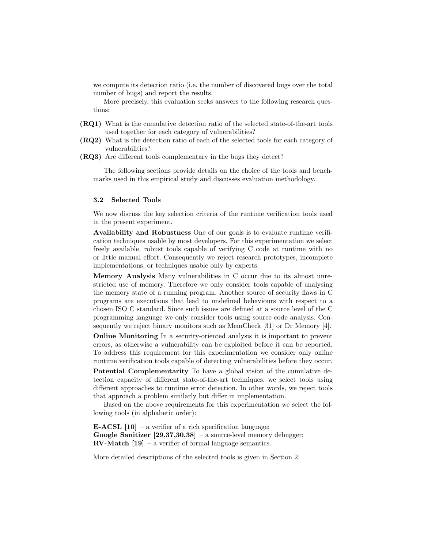we compute its detection ratio (i.e. the number of discovered bugs over the total number of bugs) and report the results.

More precisely, this evaluation seeks answers to the following research questions:

- (RQ1) What is the cumulative detection ratio of the selected state-of-the-art tools used together for each category of vulnerabilities?
- (RQ2) What is the detection ratio of each of the selected tools for each category of vulnerabilities?
- (RQ3) Are different tools complementary in the bugs they detect?

The following sections provide details on the choice of the tools and benchmarks used in this empirical study and discusses evaluation methodology.

## 3.2 Selected Tools

We now discuss the key selection criteria of the runtime verification tools used in the present experiment.

Availability and Robustness One of our goals is to evaluate runtime verification techniques usable by most developers. For this experimentation we select freely available, robust tools capable of verifying C code at runtime with no or little manual effort. Consequently we reject research prototypes, incomplete implementations, or techniques usable only by experts.

Memory Analysis Many vulnerabilities in C occur due to its almost unrestricted use of memory. Therefore we only consider tools capable of analysing the memory state of a running program. Another source of security flaws in C programs are executions that lead to undefined behaviours with respect to a chosen ISO C standard. Since such issues are defined at a source level of the C programming language we only consider tools using source code analysis. Consequently we reject binary monitors such as MemCheck [\[31\]](#page-15-6) or Dr Memory [\[4\]](#page-14-1).

Online Monitoring In a security-oriented analysis it is important to prevent errors, as otherwise a vulnerability can be exploited before it can be reported. To address this requirement for this experimentation we consider only online runtime verification tools capable of detecting vulnerabilities before they occur.

Potential Complementarity To have a global vision of the cumulative detection capacity of different state-of-the-art techniques, we select tools using different approaches to runtime error detection. In other words, we reject tools that approach a problem similarly but differ in implementation.

Based on the above requirements for this experimentation we select the following tools (in alphabetic order):

**E-ACSL**  $[10]$  – a verifier of a rich specification language; Google Sanitizer  $[29,37,30,38]$  $[29,37,30,38]$  $[29,37,30,38]$  $[29,37,30,38]$  – a source-level memory debugger;  $RV$ -Match [\[19\]](#page-15-14) – a verifier of formal language semantics.

More detailed descriptions of the selected tools is given in Section [2.](#page-3-2)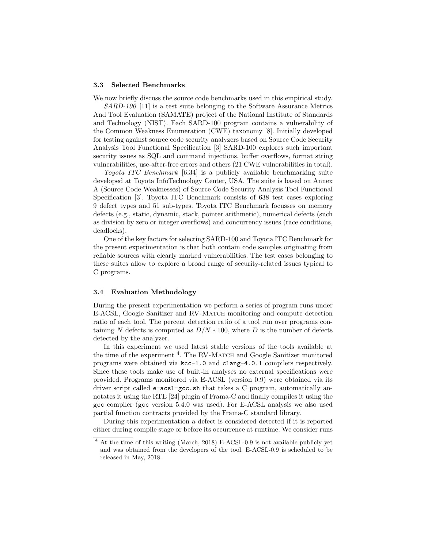#### 3.3 Selected Benchmarks

We now briefly discuss the source code benchmarks used in this empirical study.

SARD-100 [\[11\]](#page-14-3) is a test suite belonging to the Software Assurance Metrics And Tool Evaluation (SAMATE) project of the National Institute of Standards and Technology (NIST). Each SARD-100 program contains a vulnerability of the Common Weakness Enumeration (CWE) taxonomy [\[8\]](#page-14-4). Initially developed for testing against source code security analyzers based on Source Code Security Analysis Tool Functional Specification [\[3\]](#page-14-10) SARD-100 explores such important security issues as SQL and command injections, buffer overflows, format string vulnerabilities, use-after-free errors and others (21 CWE vulnerabilities in total).

Toyota ITC Benchmark [\[6](#page-14-9)[,34\]](#page-16-4) is a publicly available benchmarking suite developed at Toyota InfoTechnology Center, USA. The suite is based on Annex A (Source Code Weaknesses) of Source Code Security Analysis Tool Functional Specification [\[3\]](#page-14-10). Toyota ITC Benchmark consists of 638 test cases exploring 9 defect types and 51 sub-types. Toyota ITC Benchmark focusses on memory defects (e.g., static, dynamic, stack, pointer arithmetic), numerical defects (such as division by zero or integer overflows) and concurrency issues (race conditions, deadlocks).

One of the key factors for selecting SARD-100 and Toyota ITC Benchmark for the present experimentation is that both contain code samples originating from reliable sources with clearly marked vulnerabilities. The test cases belonging to these suites allow to explore a broad range of security-related issues typical to C programs.

#### 3.4 Evaluation Methodology

During the present experimentation we perform a series of program runs under E-ACSL, Google Sanitizer and RV-MATCH monitoring and compute detection ratio of each tool. The percent detection ratio of a tool run over programs containing N defects is computed as  $D/N * 100$ , where D is the number of defects detected by the analyzer.

In this experiment we used latest stable versions of the tools available at the time of the experiment <sup>[4](#page-7-0)</sup>. The RV-MATCH and Google Sanitizer monitored programs were obtained via kcc-1.0 and clang-4.0.1 compilers respectively. Since these tools make use of built-in analyses no external specifications were provided. Programs monitored via E-ACSL (version 0.9) were obtained via its driver script called e-acsl-gcc.sh that takes a C program, automatically annotates it using the RTE [\[24\]](#page-15-13) plugin of Frama-C and finally compiles it using the gcc compiler (gcc version 5.4.0 was used). For E-ACSL analysis we also used partial function contracts provided by the Frama-C standard library.

During this experimentation a defect is considered detected if it is reported either during compile stage or before its occurrence at runtime. We consider runs

<span id="page-7-0"></span><sup>4</sup> At the time of this writing (March, 2018) E-ACSL-0.9 is not available publicly yet and was obtained from the developers of the tool. E-ACSL-0.9 is scheduled to be released in May, 2018.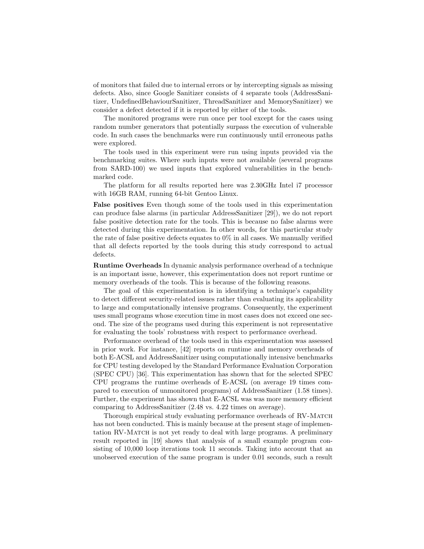of monitors that failed due to internal errors or by intercepting signals as missing defects. Also, since Google Sanitizer consists of 4 separate tools (AddressSanitizer, UndefinedBehaviourSanitizer, ThreadSanitizer and MemorySanitizer) we consider a defect detected if it is reported by either of the tools.

The monitored programs were run once per tool except for the cases using random number generators that potentially surpass the execution of vulnerable code. In such cases the benchmarks were run continuously until erroneous paths were explored.

The tools used in this experiment were run using inputs provided via the benchmarking suites. Where such inputs were not available (several programs from SARD-100) we used inputs that explored vulnerabilities in the benchmarked code.

The platform for all results reported here was 2.30GHz Intel i7 processor with 16GB RAM, running 64-bit Gentoo Linux.

False positives Even though some of the tools used in this experimentation can produce false alarms (in particular AddressSanitizer [\[29\]](#page-15-5)), we do not report false positive detection rate for the tools. This is because no false alarms were detected during this experimentation. In other words, for this particular study the rate of false positive defects equates to  $0\%$  in all cases. We manually verified that all defects reported by the tools during this study correspond to actual defects.

Runtime Overheads In dynamic analysis performance overhead of a technique is an important issue, however, this experimentation does not report runtime or memory overheads of the tools. This is because of the following reasons.

The goal of this experimentation is in identifying a technique's capability to detect different security-related issues rather than evaluating its applicability to large and computationally intensive programs. Consequently, the experiment uses small programs whose execution time in most cases does not exceed one second. The size of the programs used during this experiment is not representative for evaluating the tools' robustness with respect to performance overhead.

Performance overhead of the tools used in this experimentation was assessed in prior work. For instance, [\[42\]](#page-16-1) reports on runtime and memory overheads of both E-ACSL and AddressSanitizer using computationally intensive benchmarks for CPU testing developed by the Standard Performance Evaluation Corporation (SPEC CPU) [\[36\]](#page-16-9). This experimentation has shown that for the selected SPEC CPU programs the runtime overheads of E-ACSL (on average 19 times compared to execution of unmonitored programs) of AddressSanitizer (1.58 times). Further, the experiment has shown that E-ACSL was was more memory efficient comparing to AddressSanitizer (2.48 vs. 4.22 times on average).

Thorough empirical study evaluating performance overheads of RV-MATCH has not been conducted. This is mainly because at the present stage of implementation RV-Match is not yet ready to deal with large programs. A preliminary result reported in [\[19\]](#page-15-14) shows that analysis of a small example program consisting of 10,000 loop iterations took 11 seconds. Taking into account that an unobserved execution of the same program is under 0.01 seconds, such a result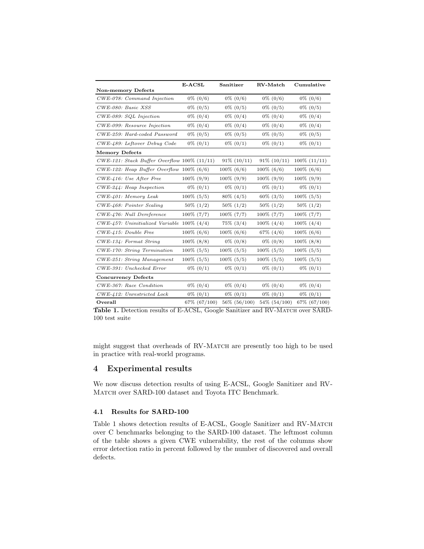|                                                 | $E-ACSL$ |                 | Sanitizer       |                  |                 | <b>RV-Match</b>   |               | Cumulative        |
|-------------------------------------------------|----------|-----------------|-----------------|------------------|-----------------|-------------------|---------------|-------------------|
| Non-memory Defects                              |          |                 |                 |                  |                 |                   |               |                   |
| CWE-078: Command Injection                      |          | $0\%$ $(0/6)$   |                 | $0\%$ $(0/6)$    |                 | $0\%$ (0/6)       |               | $0\%$ $(0/6)$     |
| CWE-080: Basic XSS                              |          | $0\%$ $(0/5)$   |                 | $0\%$ $(0/5)$    |                 | $0\%$ $(0/5)$     |               | $0\%$ $(0/5)$     |
| CWE-089: SQL Injection                          |          | $0\%$ $(0/4)$   |                 | $0\%$ $(0/4)$    |                 | $0\%$ $(0/4)$     |               | $0\% (0/4)$       |
| CWE-099: Resource Injection                     |          | $0\%$ $(0/4)$   |                 | $0\%$ $(0/4)$    |                 | $0\%$ $(0/4)$     |               | $0\% (0/4)$       |
| CWE-259: Hard-coded Password                    |          | $0\%$ $(0/5)$   |                 | $0\%$ $(0/5)$    |                 | $0\%$ $(0/5)$     |               | $0\%$ $(0/5)$     |
| CWE-489: Leftover Debug Code                    |          | $0\%$ $(0/1)$   |                 | $0\%$ $(0/1)$    |                 | $0\%$ $(0/1)$     |               | $0\%$ $(0/1)$     |
| <b>Memory Defects</b>                           |          |                 |                 |                  |                 |                   |               |                   |
| $CWE-121$ : Stack Buffer Overflow 100\% (11/11) |          |                 |                 | $91\%$ $(10/11)$ |                 | $91\%$ $(10/11)$  |               | $100\%$ $(11/11)$ |
| $CWE-122$ : Heap Buffer Overflow 100% (6/6)     |          |                 | $100\%~(6/6)$   |                  |                 | $100\%$ (6/6)     |               | $100\%~(6/6)$     |
| CWE-416: Use After Free                         |          | $100\%$ (9/9)   | $100\%$ (9/9)   |                  |                 | $100\%$ (9/9)     |               | $100\%$ (9/9)     |
| $CWE$ -244: Heap Inspection                     |          | $0\%$ $(0/1)$   |                 | $0\%$ $(0/1)$    |                 | $0\%$ $(0/1)$     |               | $0\%$ $(0/1)$     |
| $CWE-401$ : Memory Leak                         |          | $100\%~(5/5)$   |                 | $80\%~(4/5)$     |                 | $60\%$ $(3/5)$    | $100\%~(5/5)$ |                   |
| CWE-468: Pointer Scaling                        |          | $50\%~(1/2)$    |                 | $50\%$ $(1/2)$   |                 | $50\%$ $(1/2)$    |               | $50\%$ $(1/2)$    |
| CWE-476: Null Dereference                       |          | $100\%$ $(7/7)$ | $100\%$ $(7/7)$ |                  |                 | $100\%$ (7/7)     |               | $100\% (7/7)$     |
| $CWE-457$ : Uninitialized Variable 100% (4/4)   |          |                 |                 | $75\%$ $(3/4)$   | $100\%$ $(4/4)$ |                   |               | $100\%~(4/4)$     |
| CWE-415: Double Free                            |          | $100\%~(6/6)$   |                 | $100\%~(6/6)$    |                 | 67\% $(4/6)$      | $100\%~(6/6)$ |                   |
| CWE-134: Format String                          |          | $100\%$ (8/8)   |                 | $0\%$ $(0/8)$    |                 | $0\%$ $(0/8)$     |               | $100\%$ (8/8)     |
| CWE-170: String Termination                     |          | $100\%$ (5/5)   | $100\%$ $(5/5)$ |                  |                 | $100\%$ (5/5)     |               | $100\%$ (5/5)     |
| CWE-251: String Management                      |          | $100\%~(5/5)$   |                 | $100\%$ $(5/5)$  |                 | $100\%$ $(5/5)$   |               | $100\%$ $(5/5)$   |
| CWE-391: Unchecked Error                        |          | $0\%$ $(0/1)$   |                 | $0\%$ $(0/1)$    |                 | $0\%$ $(0/1)$     |               | $0\%$ $(0/1)$     |
| <b>Concurrency Defects</b>                      |          |                 |                 |                  |                 |                   |               |                   |
| CWE-367: Race Condition                         |          | $0\%$ $(0/4)$   |                 | $0\%$ $(0/4)$    |                 | $0\%$ $(0/4)$     |               | $0\%$ $(0/4)$     |
| CWE-412: Unrestricted Lock                      |          | $0\%$ $(0/1)$   |                 | $0\%$ $(0/1)$    |                 | $0\%$ $(0/1)$     |               | $0\%$ $(0/1)$     |
| Overall                                         |          | 67\% (67/100)   |                 | 56\% (56/100)    |                 | $54\%$ $(54/100)$ |               | 67\% (67/100)     |

<span id="page-9-1"></span>Table 1. Detection results of E-ACSL, Google Sanitizer and RV-MATCH over SARD-100 test suite

might suggest that overheads of RV-MATCH are presently too high to be used in practice with real-world programs.

# <span id="page-9-0"></span>4 Experimental results

We now discuss detection results of using E-ACSL, Google Sanitizer and RV-Match over SARD-100 dataset and Toyota ITC Benchmark.

# <span id="page-9-2"></span>4.1 Results for SARD-100

Table [1](#page-9-1) shows detection results of E-ACSL, Google Sanitizer and RV-Match over C benchmarks belonging to the SARD-100 dataset. The leftmost column of the table shows a given CWE vulnerability, the rest of the columns show error detection ratio in percent followed by the number of discovered and overall defects.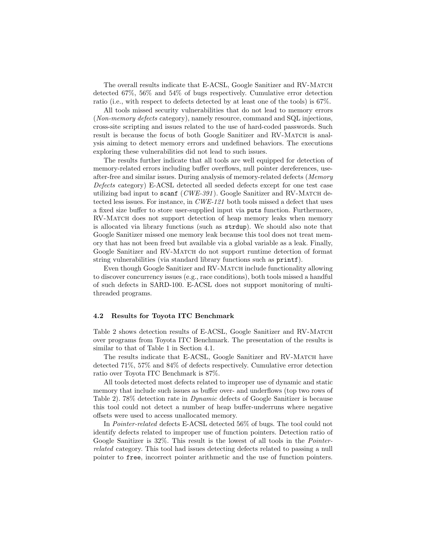The overall results indicate that E-ACSL, Google Sanitizer and RV-MATCH detected 67%, 56% and 54% of bugs respectively. Cumulative error detection ratio (i.e., with respect to defects detected by at least one of the tools) is 67%.

All tools missed security vulnerabilities that do not lead to memory errors (Non-memory defects category), namely resource, command and SQL injections, cross-site scripting and issues related to the use of hard-coded passwords. Such result is because the focus of both Google Sanitizer and RV-MATCH is analysis aiming to detect memory errors and undefined behaviors. The executions exploring these vulnerabilities did not lead to such issues.

The results further indicate that all tools are well equipped for detection of memory-related errors including buffer overflows, null pointer dereferences, useafter-free and similar issues. During analysis of memory-related defects (Memory Defects category) E-ACSL detected all seeded defects except for one test case utilizing bad input to scanf  $(CWE-391)$ . Google Sanitizer and RV-MATCH detected less issues. For instance, in CWE-121 both tools missed a defect that uses a fixed size buffer to store user-supplied input via puts function. Furthermore, RV-Match does not support detection of heap memory leaks when memory is allocated via library functions (such as strdup). We should also note that Google Sanitizer missed one memory leak because this tool does not treat memory that has not been freed but available via a global variable as a leak. Finally, Google Sanitizer and RV-MATCH do not support runtime detection of format string vulnerabilities (via standard library functions such as printf).

Even though Google Sanitizer and RV-MATCH include functionality allowing to discover concurrency issues (e.g., race conditions), both tools missed a handful of such defects in SARD-100. E-ACSL does not support monitoring of multithreaded programs.

## 4.2 Results for Toyota ITC Benchmark

Table [2](#page-11-0) shows detection results of E-ACSL, Google Sanitizer and RV-MATCH over programs from Toyota ITC Benchmark. The presentation of the results is similar to that of Table [1](#page-9-1) in Section [4.1.](#page-9-2)

The results indicate that E-ACSL, Google Sanitizer and RV-MATCH have detected 71%, 57% and 84% of defects respectively. Cumulative error detection ratio over Toyota ITC Benchmark is 87%.

All tools detected most defects related to improper use of dynamic and static memory that include such issues as buffer over- and underflows (top two rows of Table [2\)](#page-11-0). 78% detection rate in Dynamic defects of Google Sanitizer is because this tool could not detect a number of heap buffer-underruns where negative offsets were used to access unallocated memory.

In Pointer-related defects E-ACSL detected 56% of bugs. The tool could not identify defects related to improper use of function pointers. Detection ratio of Google Sanitizer is 32%. This result is the lowest of all tools in the *Pointer*related category. This tool had issues detecting defects related to passing a null pointer to free, incorrect pointer arithmetic and the use of function pointers.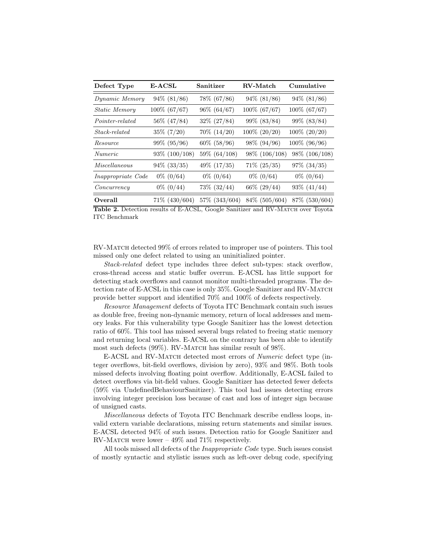| Defect Type          | E-ACSL         | Sanitizer      | <b>RV-Match</b> | Cumulative       |  |  |
|----------------------|----------------|----------------|-----------------|------------------|--|--|
| Dynamic Memory       | 94% (81/86)    | 78% (67/86)    | 94% (81/86)     | $94\%$ $(81/86)$ |  |  |
| <b>Static Memory</b> | 100% (67/67)   | 96% (64/67)    | 100% (67/67)    | 100% (67/67)     |  |  |
| Pointer-related      | 56% (47/84)    | 32\% (27/84)   | 99% (83/84)     | 99% (83/84)      |  |  |
| $Stack-related$      | 35% (7/20)     | 70% (14/20)    | 100% (20/20)    | $100\% (20/20)$  |  |  |
| Resource             | 99% (95/96)    | 60% (58/96)    | 98% (94/96)     | 100% (96/96)     |  |  |
| Numeric              | 93% (100/108)  | 59% (64/108)   | 98% (106/108)   | 98% (106/108)    |  |  |
| Miscellaneous        | 94% (33/35)    | 49% (17/35)    | $71\% (25/35)$  | 97% (34/35)      |  |  |
| Inappropriate Code   | $0\%$ $(0/64)$ | $0\%$ $(0/64)$ | $0\%$ $(0/64)$  | $0\%$ $(0/64)$   |  |  |
| Concurrency          | $0\%$ $(0/44)$ | 73% (32/44)    | 66% (29/44)     | 93% (41/44)      |  |  |
| Overall              | 71\% (430/604) | 57\% (343/604) | 84\% (505/604)  | 87\% (530/604)   |  |  |

<span id="page-11-0"></span>Table 2. Detection results of E-ACSL, Google Sanitizer and RV-MATCH over Toyota ITC Benchmark

RV-Match detected 99% of errors related to improper use of pointers. This tool missed only one defect related to using an uninitialized pointer.

Stack-related defect type includes three defect sub-types: stack overflow, cross-thread access and static buffer overrun. E-ACSL has little support for detecting stack overflows and cannot monitor multi-threaded programs. The detection rate of E-ACSL in this case is only 35%. Google Sanitizer and RV-MATCH provide better support and identified 70% and 100% of defects respectively.

Resource Management defects of Toyota ITC Benchmark contain such issues as double free, freeing non-dynamic memory, return of local addresses and memory leaks. For this vulnerability type Google Sanitizer has the lowest detection ratio of 60%. This tool has missed several bugs related to freeing static memory and returning local variables. E-ACSL on the contrary has been able to identify most such defects  $(99\%)$ . RV-MATCH has similar result of 98%.

E-ACSL and RV-MATCH detected most errors of *Numeric* defect type (integer overflows, bit-field overflows, division by zero), 93% and 98%. Both tools missed defects involving floating point overflow. Additionally, E-ACSL failed to detect overflows via bit-field values. Google Sanitizer has detected fewer defects (59% via UndefinedBehaviourSanitizer). This tool had issues detecting errors involving integer precision loss because of cast and loss of integer sign because of unsigned casts.

Miscellaneous defects of Toyota ITC Benchmark describe endless loops, invalid extern variable declarations, missing return statements and similar issues. E-ACSL detected 94% of such issues. Detection ratio for Google Sanitizer and RV-Match were lower – 49% and 71% respectively.

All tools missed all defects of the *Inappropriate Code* type. Such issues consist of mostly syntactic and stylistic issues such as left-over debug code, specifying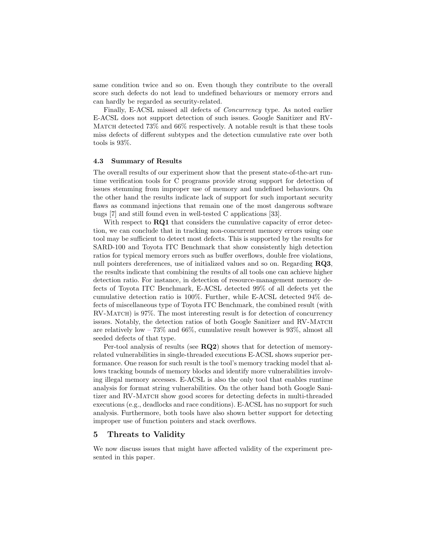same condition twice and so on. Even though they contribute to the overall score such defects do not lead to undefined behaviours or memory errors and can hardly be regarded as security-related.

Finally, E-ACSL missed all defects of Concurrency type. As noted earlier E-ACSL does not support detection of such issues. Google Sanitizer and RV-MATCH detected 73% and 66% respectively. A notable result is that these tools miss defects of different subtypes and the detection cumulative rate over both tools is 93%.

## 4.3 Summary of Results

The overall results of our experiment show that the present state-of-the-art runtime verification tools for C programs provide strong support for detection of issues stemming from improper use of memory and undefined behaviours. On the other hand the results indicate lack of support for such important security flaws as command injections that remain one of the most dangerous software bugs [\[7\]](#page-14-11) and still found even in well-tested C applications [\[33\]](#page-16-10).

With respect to **RQ1** that considers the cumulative capacity of error detection, we can conclude that in tracking non-concurrent memory errors using one tool may be sufficient to detect most defects. This is supported by the results for SARD-100 and Toyota ITC Benchmark that show consistently high detection ratios for typical memory errors such as buffer overflows, double free violations, null pointers dereferences, use of initialized values and so on. Regarding **RQ3**, the results indicate that combining the results of all tools one can achieve higher detection ratio. For instance, in detection of resource-management memory defects of Toyota ITC Benchmark, E-ACSL detected 99% of all defects yet the cumulative detection ratio is 100%. Further, while E-ACSL detected 94% defects of miscellaneous type of Toyota ITC Benchmark, the combined result (with RV-Match) is 97%. The most interesting result is for detection of concurrency issues. Notably, the detection ratios of both Google Sanitizer and RV-Match are relatively low –  $73\%$  and 66%, cumulative result however is 93%, almost all seeded defects of that type.

Per-tool analysis of results (see RQ2) shows that for detection of memoryrelated vulnerabilities in single-threaded executions E-ACSL shows superior performance. One reason for such result is the tool's memory tracking model that allows tracking bounds of memory blocks and identify more vulnerabilities involving illegal memory accesses. E-ACSL is also the only tool that enables runtime analysis for format string vulnerabilities. On the other hand both Google Sanitizer and RV-Match show good scores for detecting defects in multi-threaded executions (e.g., deadlocks and race conditions). E-ACSL has no support for such analysis. Furthermore, both tools have also shown better support for detecting improper use of function pointers and stack overflows.

# <span id="page-12-0"></span>5 Threats to Validity

We now discuss issues that might have affected validity of the experiment presented in this paper.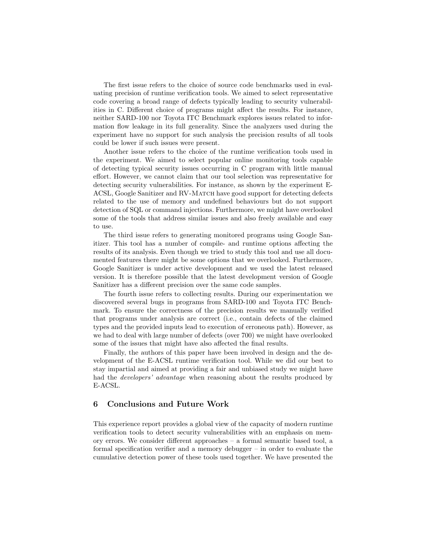The first issue refers to the choice of source code benchmarks used in evaluating precision of runtime verification tools. We aimed to select representative code covering a broad range of defects typically leading to security vulnerabilities in C. Different choice of programs might affect the results. For instance, neither SARD-100 nor Toyota ITC Benchmark explores issues related to information flow leakage in its full generality. Since the analyzers used during the experiment have no support for such analysis the precision results of all tools could be lower if such issues were present.

Another issue refers to the choice of the runtime verification tools used in the experiment. We aimed to select popular online monitoring tools capable of detecting typical security issues occurring in C program with little manual effort. However, we cannot claim that our tool selection was representative for detecting security vulnerabilities. For instance, as shown by the experiment E-ACSL, Google Sanitizer and RV-MATCH have good support for detecting defects related to the use of memory and undefined behaviours but do not support detection of SQL or command injections. Furthermore, we might have overlooked some of the tools that address similar issues and also freely available and easy to use.

The third issue refers to generating monitored programs using Google Sanitizer. This tool has a number of compile- and runtime options affecting the results of its analysis. Even though we tried to study this tool and use all documented features there might be some options that we overlooked. Furthermore, Google Sanitizer is under active development and we used the latest released version. It is therefore possible that the latest development version of Google Sanitizer has a different precision over the same code samples.

The fourth issue refers to collecting results. During our experimentation we discovered several bugs in programs from SARD-100 and Toyota ITC Benchmark. To ensure the correctness of the precision results we manually verified that programs under analysis are correct (i.e., contain defects of the claimed types and the provided inputs lead to execution of erroneous path). However, as we had to deal with large number of defects (over 700) we might have overlooked some of the issues that might have also affected the final results.

Finally, the authors of this paper have been involved in design and the development of the E-ACSL runtime verification tool. While we did our best to stay impartial and aimed at providing a fair and unbiased study we might have had the *developers' advantage* when reasoning about the results produced by E-ACSL.

# <span id="page-13-0"></span>6 Conclusions and Future Work

This experience report provides a global view of the capacity of modern runtime verification tools to detect security vulnerabilities with an emphasis on memory errors. We consider different approaches – a formal semantic based tool, a formal specification verifier and a memory debugger – in order to evaluate the cumulative detection power of these tools used together. We have presented the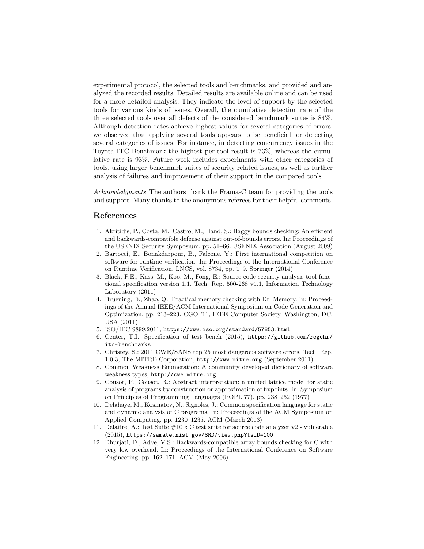experimental protocol, the selected tools and benchmarks, and provided and analyzed the recorded results. Detailed results are available online and can be used for a more detailed analysis. They indicate the level of support by the selected tools for various kinds of issues. Overall, the cumulative detection rate of the three selected tools over all defects of the considered benchmark suites is 84%. Although detection rates achieve highest values for several categories of errors, we observed that applying several tools appears to be beneficial for detecting several categories of issues. For instance, in detecting concurrency issues in the Toyota ITC Benchmark the highest per-tool result is 73%, whereas the cumulative rate is 93%. Future work includes experiments with other categories of tools, using larger benchmark suites of security related issues, as well as further analysis of failures and improvement of their support in the compared tools.

Acknowledgments The authors thank the Frama-C team for providing the tools and support. Many thanks to the anonymous referees for their helpful comments.

## References

- <span id="page-14-6"></span>1. Akritidis, P., Costa, M., Castro, M., Hand, S.: Baggy bounds checking: An efficient and backwards-compatible defense against out-of-bounds errors. In: Proceedings of the USENIX Security Symposium. pp. 51–66. USENIX Association (August 2009)
- <span id="page-14-2"></span>2. Bartocci, E., Bonakdarpour, B., Falcone, Y.: First international competition on software for runtime verification. In: Proceedings of the International Conference on Runtime Verification. LNCS, vol. 8734, pp. 1–9. Springer (2014)
- <span id="page-14-10"></span>3. Black, P.E., Kass, M., Koo, M., Fong, E.: Source code security analysis tool functional specification version 1.1. Tech. Rep. 500-268 v1.1, Information Technology Laboratory (2011)
- <span id="page-14-1"></span>4. Bruening, D., Zhao, Q.: Practical memory checking with Dr. Memory. In: Proceedings of the Annual IEEE/ACM International Symposium on Code Generation and Optimization. pp. 213–223. CGO '11, IEEE Computer Society, Washington, DC, USA (2011)
- <span id="page-14-8"></span>5. ISO/IEC 9899:2011, <https://www.iso.org/standard/57853.html>
- <span id="page-14-9"></span>6. Center, T.I.: Specification of test bench (2015), [https://github.com/regehr/](https://github.com/regehr/itc-benchmarks) [itc-benchmarks](https://github.com/regehr/itc-benchmarks)
- <span id="page-14-11"></span>7. Christey, S.: 2011 CWE/SANS top 25 most dangerous software errors. Tech. Rep. 1.0.3, The MITRE Corporation, <http://www.mitre.org> (September 2011)
- <span id="page-14-4"></span>8. Common Weakness Enumeration: A community developed dictionary of software weakness types, <http://cwe.mitre.org>
- <span id="page-14-0"></span>9. Cousot, P., Cousot, R.: Abstract interpretation: a unified lattice model for static analysis of programs by construction or approximation of fixpoints. In: Symposium on Principles of Programming Languages (POPL'77). pp. 238–252 (1977)
- <span id="page-14-7"></span>10. Delahaye, M., Kosmatov, N., Signoles, J.: Common specification language for static and dynamic analysis of C programs. In: Proceedings of the ACM Symposium on Applied Computing. pp. 1230–1235. ACM (March 2013)
- <span id="page-14-3"></span>11. Delaitre, A.: Test Suite #100: C test suite for source code analyzer v2 - vulnerable (2015), <https://samate.nist.gov/SRD/view.php?tsID=100>
- <span id="page-14-5"></span>12. Dhurjati, D., Adve, V.S.: Backwards-compatible array bounds checking for C with very low overhead. In: Proceedings of the International Conference on Software Engineering. pp. 162–171. ACM (May 2006)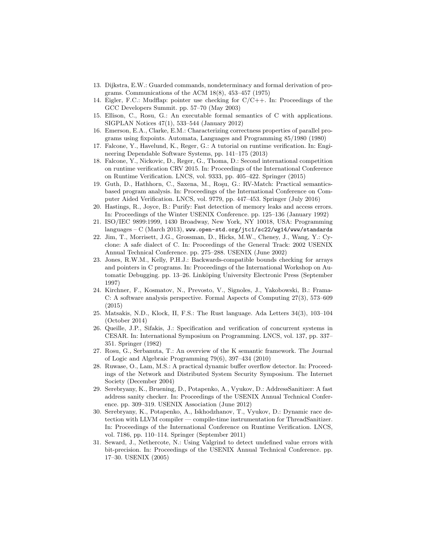- <span id="page-15-1"></span>13. Dijkstra, E.W.: Guarded commands, nondeterminacy and formal derivation of programs. Communications of the ACM 18(8), 453–457 (1975)
- <span id="page-15-11"></span>14. Eigler, F.C.: Mudflap: pointer use checking for C/C++. In: Proceedings of the GCC Developers Summit. pp. 57–70 (May 2003)
- <span id="page-15-16"></span>15. Ellison, C., Rosu, G.: An executable formal semantics of C with applications. SIGPLAN Notices 47(1), 533–544 (January 2012)
- <span id="page-15-2"></span>16. Emerson, E.A., Clarke, E.M.: Characterizing correctness properties of parallel programs using fixpoints. Automata, Languages and Programming 85/1980 (1980)
- <span id="page-15-4"></span>17. Falcone, Y., Havelund, K., Reger, G.: A tutorial on runtime verification. In: Engineering Dependable Software Systems, pp. 141–175 (2013)
- <span id="page-15-7"></span>18. Falcone, Y., Nickovic, D., Reger, G., Thoma, D.: Second international competition on runtime verification CRV 2015. In: Proceedings of the International Conference on Runtime Verification. LNCS, vol. 9333, pp. 405–422. Springer (2015)
- <span id="page-15-14"></span>19. Guth, D., Hathhorn, C., Saxena, M., Roşu, G.: RV-Match: Practical semanticsbased program analysis. In: Proceedings of the International Conference on Computer Aided Verification. LNCS, vol. 9779, pp. 447–453. Springer (July 2016)
- <span id="page-15-8"></span>20. Hastings, R., Joyce, B.: Purify: Fast detection of memory leaks and access errors. In: Proceedings of the Winter USENIX Conference. pp. 125–136 (January 1992)
- <span id="page-15-0"></span>21. ISO/IEC 9899:1999, 1430 Broadway, New York, NY 10018, USA: Programming languages – C (March 2013), <www.open-std.org/jtc1/sc22/wg14/www/standards>
- <span id="page-15-17"></span>22. Jim, T., Morrisett, J.G., Grossman, D., Hicks, M.W., Cheney, J., Wang, Y.: Cyclone: A safe dialect of C. In: Proceedings of the General Track: 2002 USENIX Annual Technical Conference. pp. 275–288. USENIX (June 2002)
- <span id="page-15-9"></span>23. Jones, R.W.M., Kelly, P.H.J.: Backwards-compatible bounds checking for arrays and pointers in C programs. In: Proceedings of the International Workshop on Automatic Debugging. pp. 13–26. Linköping University Electronic Press (September 1997)
- <span id="page-15-13"></span>24. Kirchner, F., Kosmatov, N., Prevosto, V., Signoles, J., Yakobowski, B.: Frama-C: A software analysis perspective. Formal Aspects of Computing 27(3), 573–609 (2015)
- <span id="page-15-18"></span>25. Matsakis, N.D., Klock, II, F.S.: The Rust language. Ada Letters 34(3), 103–104 (October 2014)
- <span id="page-15-3"></span>26. Queille, J.P., Sifakis, J.: Specification and verification of concurrent systems in CESAR. In: International Symposium on Programming. LNCS, vol. 137, pp. 337– 351. Springer (1982)
- <span id="page-15-15"></span>27. Rosu, G., Serbanuta, T.: An overview of the K semantic framework. The Journal of Logic and Algebraic Programming 79(6), 397–434 (2010)
- <span id="page-15-10"></span>28. Ruwase, O., Lam, M.S.: A practical dynamic buffer overflow detector. In: Proceedings of the Network and Distributed System Security Symposium. The Internet Society (December 2004)
- <span id="page-15-5"></span>29. Serebryany, K., Bruening, D., Potapenko, A., Vyukov, D.: AddressSanitizer: A fast address sanity checker. In: Proceedings of the USENIX Annual Technical Conference. pp. 309–319. USENIX Association (June 2012)
- <span id="page-15-12"></span>30. Serebryany, K., Potapenko, A., Iskhodzhanov, T., Vyukov, D.: Dynamic race detection with LLVM compiler — compile-time instrumentation for ThreadSanitizer. In: Proceedings of the International Conference on Runtime Verification. LNCS, vol. 7186, pp. 110–114. Springer (September 2011)
- <span id="page-15-6"></span>31. Seward, J., Nethercote, N.: Using Valgrind to detect undefined value errors with bit-precision. In: Proceedings of the USENIX Annual Technical Conference. pp. 17–30. USENIX (2005)